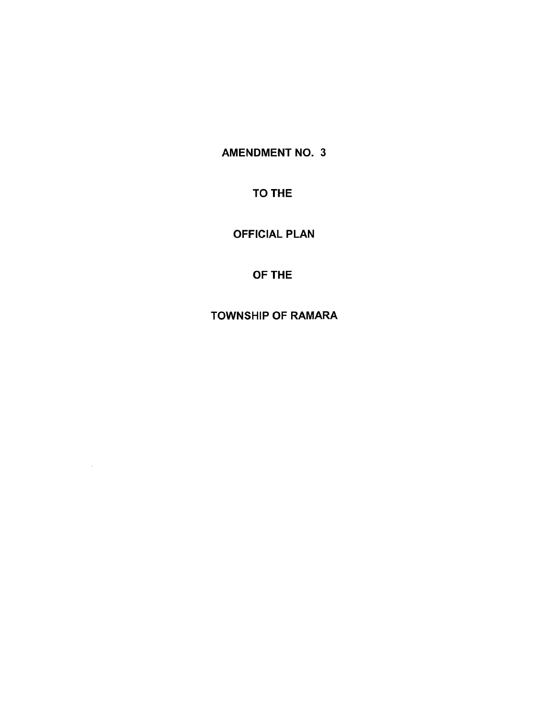AMENDMENT NO. 3

TO THE

OFFICIAL PLAN

OF THE

TOWNSHIP OF RAMARA

 $\sim$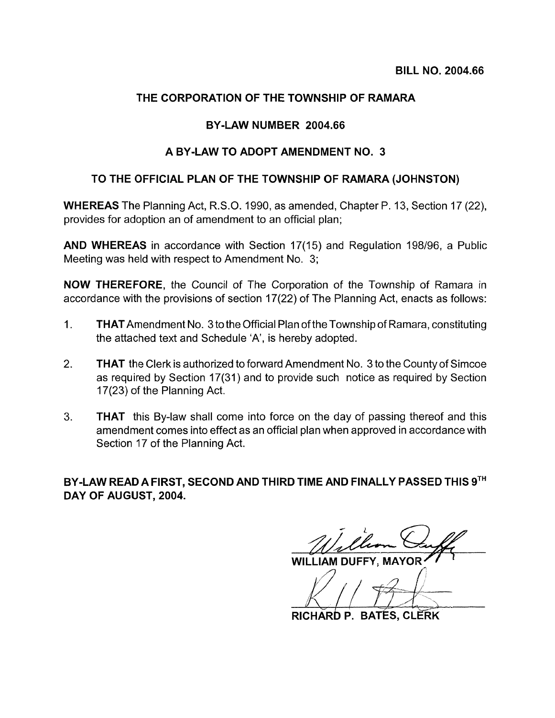# **THE CORPORATION OF THE TOWNSHIP OF RAMARA**

#### **BY -LAW NUMBER 2004.66**

#### **A BY-LAW TO ADOPT AMENDMENT NO. 3**

### **TO THE OFFICIAL PLAN OF THE TOWNSHIP OF RAMARA (JOHNSTON)**

**WHEREAS** The Planning Act, R.S.O. 1990, as amended, Chapter P. 13, Section 17 (22), provides for adoption an of amendment to an official plan;

**AND WHEREAS** in accordance with Section 17(15) and Regulation 198/96, a Public Meeting was held with respect to Amendment No. 3;

**NOW THEREFORE,** the Council of The Corporation of the Township of Ramara in accordance with the provisions of section 17(22) of The Planning Act, enacts as follows:

- 1. **THAT** Amendment No. 3totheOfficiai Plan of the Township of Ramara, constituting the attached text and Schedule 'A', is hereby adopted.
- 2. **THAT** the Clerk is authorized to forward Amendment No.3 to the County of Simcoe as required by Section 17(31) and to provide such notice as required by Section 17(23) of the Planning Act.
- 3. **THAT** this By-law shall come into force on the day of passing thereof and this amendment comes into effect as an official plan when approved in accordance with Section 17 of the Planning Act.

**BY-LAW READ A FIRST, SECOND AND THIRD TIME AND FINALLY PASSED THIS** 9TH **DAY OF AUGUST, 2004.** 

WII I IAM DUFFY, MAYOR

 $\sqrt{144}$ 

**RICHARD P. BATES, CLERK**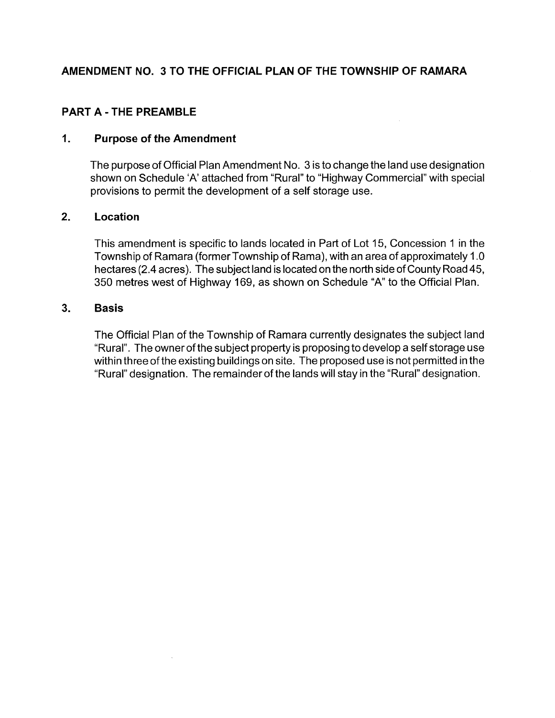# AMENDMENT NO. 3 TO THE OFFICIAL PLAN OF THE TOWNSHIP OF RAMARA

### PART A - THE PREAMBLE

### 1. Purpose of the Amendment

The purpose of Official Plan Amendment No.3 is to change the land use designation shown on Schedule 'A' attached from "Rural" to "Highway Commercial" with special provisions to permit the development of a self storage use.

### 2. Location

This amendment is specific to lands located in Part of Lot 15, Concession 1 in the Township of Ramara (former Township of Rama), with an area of approximately 1.0 hectares (2.4 acres). The subject land is located on the north side of County Road 45, 350 metres west of Highway 169, as shown on Schedule "A" to the Official Plan.

### 3. Basis

The Official Plan of the Township of Ramara currently designates the subject land "Rural". The ownerofthe subject property is proposing to develop a self storage use within three of the existing buildings on site. The proposed use is not permitted in the "Rural" designation. The remainder of the lands will stay in the "Rural" designation.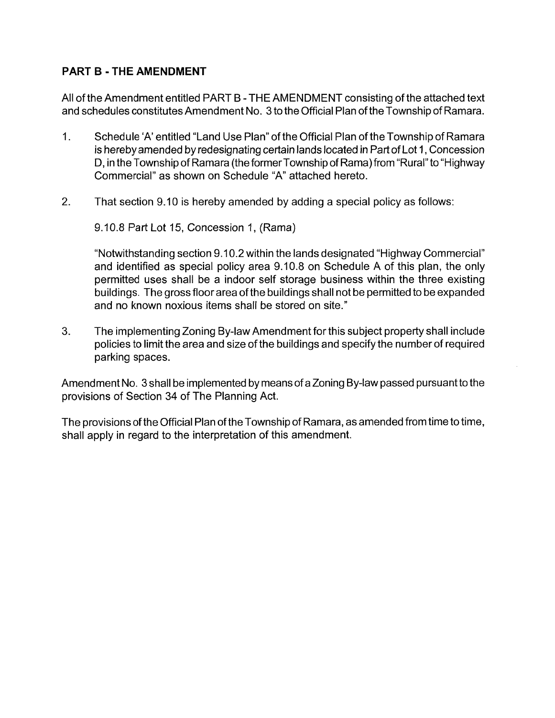# **PART B - THE AMENDMENT**

All of the Amendment entitled PART B - THE AMENDMENT consisting of the attached text and schedules constitutes Amendment No. 3 to the Official Plan of the Township of Ramara.

- 1. Schedule 'A' entitled "Land Use Plan" of the Official Plan of the Township of Ramara is hereby amended by redesignating certain lands located in Part of Lot 1 , Concession D, in the Township of Ramara (the former Township of Rama) from "Rural" to "Highway Commercial" as shown on Schedule "A" attached hereto.
- 2. That section 9.10 is hereby amended by adding a special policy as follows:

9.10.8 Part Lot 15, Concession 1, (Rama)

"Notwithstanding section 9.10.2 within the lands designated "Highway Commercial" and identified as special policy area 9.10.8 on Schedule A of this plan, the only permitted uses shall be a indoor self storage business within the three existing buildings. The gross floor area of the buildings shall not be permitted to be expanded and no known noxious items shall be stored on site."

3. The implementing Zoning By-law Amendment for this subject property shall include policies to limit the area and size of the buildings and specify the number of required parking spaces.

Amendment No. 3 shall be implemented by means of a Zoning By-law passed pursuant to the provisions of Section 34 of The Planning Act.

The provisions of the Official Plan of the Township of Ramara, as amended from time to time, shall apply in regard to the interpretation of this amendment.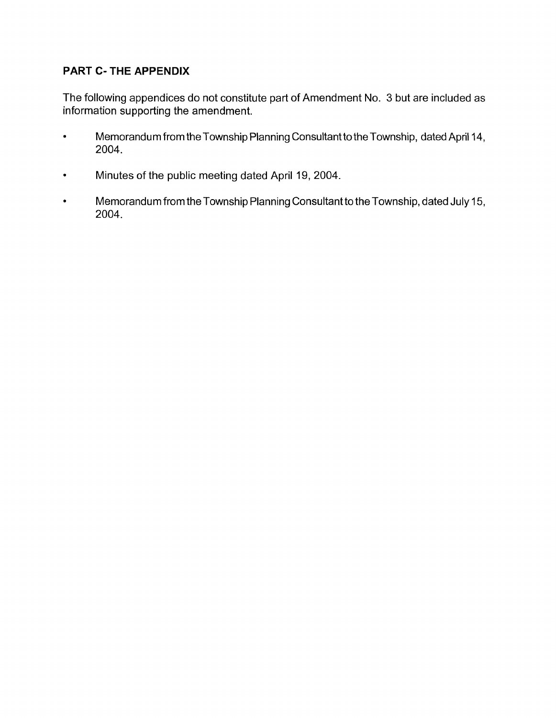# **PART C- THE APPENDIX**

The following appendices do not constitute part of Amendment No. 3 but are included as information supporting the amendment.

- Memorandum from the Township Planning Consultant to the Township, dated April 14, 2004.
- Minutes of the public meeting dated April 19, 2004.
- Memorandum from the Township Planning Consultant to the Township, dated July 15, 2004.